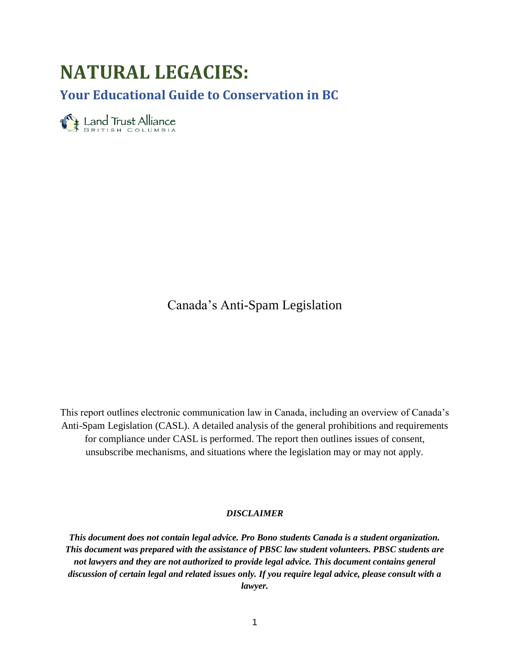# **NATURAL LEGACIES:**

**Your Educational Guide to Conservation in BC**

Eand Trust Alliance

Canada's Anti-Spam Legislation

This report outlines electronic communication law in Canada, including an overview of Canada's Anti-Spam Legislation (CASL). A detailed analysis of the general prohibitions and requirements for compliance under CASL is performed. The report then outlines issues of consent, unsubscribe mechanisms, and situations where the legislation may or may not apply.

### *DISCLAIMER*

*This document does not contain legal advice. Pro Bono students Canada is a student organization. This document was prepared with the assistance of PBSC law student volunteers. PBSC students are not lawyers and they are not authorized to provide legal advice. This document contains general discussion of certain legal and related issues only. If you require legal advice, please consult with a lawyer.*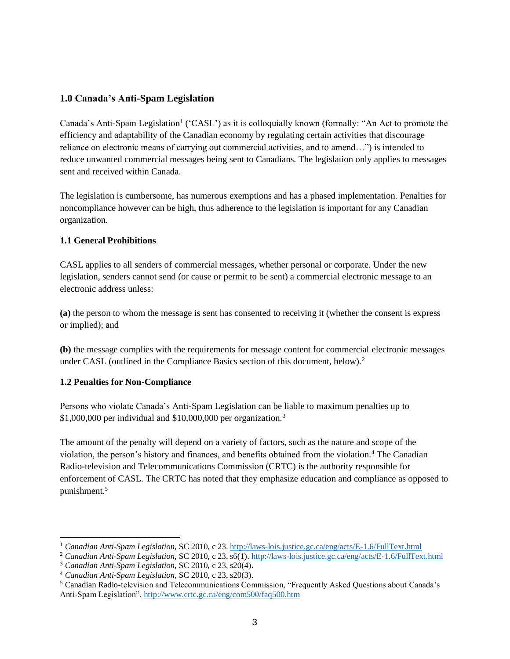# <span id="page-2-0"></span>**1.0 Canada's Anti-Spam Legislation**

Canada's Anti-Spam Legislation<sup>1</sup> ('CASL') as it is colloquially known (formally: "An Act to promote the efficiency and adaptability of the Canadian economy by regulating certain activities that discourage reliance on electronic means of carrying out commercial activities, and to amend…") is intended to reduce unwanted commercial messages being sent to Canadians. The legislation only applies to messages sent and received within Canada.

The legislation is cumbersome, has numerous exemptions and has a phased implementation. Penalties for noncompliance however can be high, thus adherence to the legislation is important for any Canadian organization.

# <span id="page-2-1"></span>**1.1 General Prohibitions**

CASL applies to all senders of commercial messages, whether personal or corporate. Under the new legislation, senders cannot send (or cause or permit to be sent) a commercial electronic message to an electronic address unless:

**(a)** the person to whom the message is sent has consented to receiving it (whether the consent is express or implied); and

**(b)** the message complies with the requirements for message content for commercial electronic messages under CASL (outlined in the Compliance Basics section of this document, below).<sup>2</sup>

# <span id="page-2-2"></span>**1.2 Penalties for Non-Compliance**

Persons who violate Canada's Anti-Spam Legislation can be liable to maximum penalties up to \$1,000,000 per individual and \$10,000,000 per organization.<sup>3</sup>

The amount of the penalty will depend on a variety of factors, such as the nature and scope of the violation, the person's history and finances, and benefits obtained from the violation.<sup>4</sup> The Canadian Radio-television and Telecommunications Commission (CRTC) is the authority responsible for enforcement of CASL. The CRTC has noted that they emphasize education and compliance as opposed to punishment.<sup>5</sup>

<sup>&</sup>lt;sup>1</sup> Canadian Anti-Spam Legislation, SC 2010, c 23.<http://laws-lois.justice.gc.ca/eng/acts/E-1.6/FullText.html>

<sup>2</sup> *Canadian Anti-Spam Legislation*, SC 2010, c 23, s6(1)[. http://laws-lois.justice.gc.ca/eng/acts/E-1.6/FullText.html](http://laws-lois.justice.gc.ca/eng/acts/E-1.6/FullText.html)

<sup>3</sup> *Canadian Anti-Spam Legislation,* SC 2010, c 23, s20(4).

<sup>4</sup> *Canadian Anti-Spam Legislation,* SC 2010, c 23, s20(3).

<sup>5</sup> Canadian Radio-television and Telecommunications Commission, "Frequently Asked Questions about Canada's Anti-Spam Legislation".<http://www.crtc.gc.ca/eng/com500/faq500.htm>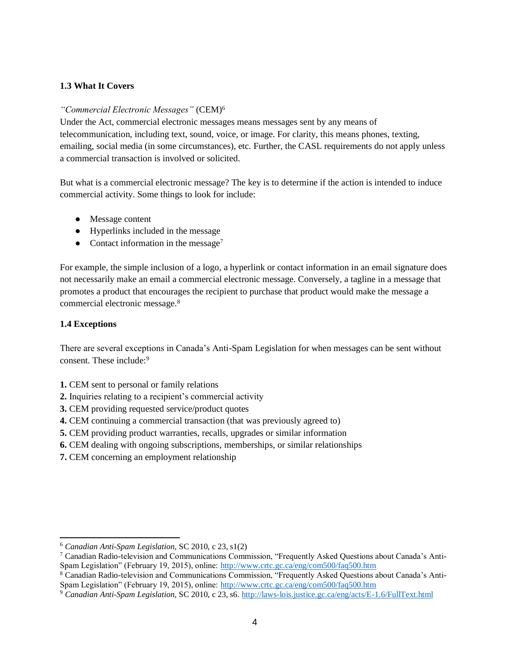## <span id="page-3-0"></span>**1.3 What It Covers**

### *"Commercial Electronic Messages"* (CEM)<sup>6</sup>

Under the Act, commercial electronic messages means messages sent by any means of telecommunication, including text, sound, voice, or image. For clarity, this means phones, texting, emailing, social media (in some circumstances), etc. Further, the CASL requirements do not apply unless a commercial transaction is involved or solicited.

But what is a commercial electronic message? The key is to determine if the action is intended to induce commercial activity. Some things to look for include:

- Message content
- Hyperlinks included in the message
- Contact information in the message<sup>7</sup>

For example, the simple inclusion of a logo, a hyperlink or contact information in an email signature does not necessarily make an email a commercial electronic message. Conversely, a tagline in a message that promotes a product that encourages the recipient to purchase that product would make the message a commercial electronic message.<sup>8</sup>

## <span id="page-3-1"></span>**1.4 Exceptions**

There are several exceptions in Canada's Anti-Spam Legislation for when messages can be sent without consent. These include:<sup>9</sup>

- **1.** CEM sent to personal or family relations
- **2.** Inquiries relating to a recipient's commercial activity
- **3.** CEM providing requested service/product quotes
- **4.** CEM continuing a commercial transaction (that was previously agreed to)
- **5.** CEM providing product warranties, recalls, upgrades or similar information
- **6.** CEM dealing with ongoing subscriptions, memberships, or similar relationships
- **7.** CEM concerning an employment relationship

<sup>6</sup> *Canadian Anti-Spam Legislation,* SC 2010, c 23, s1(2)

<sup>7</sup> Canadian Radio-television and Communications Commission, "Frequently Asked Questions about Canada's Anti-Spam Legislation" (February 19, 2015), online:<http://www.crtc.gc.ca/eng/com500/faq500.htm>

<sup>8</sup> Canadian Radio-television and Communications Commission, "Frequently Asked Questions about Canada's AntiSpam Legislation" (February 19, 2015), online:<http://www.crtc.gc.ca/eng/com500/faq500.htm>

<sup>9</sup> *Canadian Anti-Spam Legislation,* SC 2010, c 23, s6.<http://laws-lois.justice.gc.ca/eng/acts/E-1.6/FullText.html>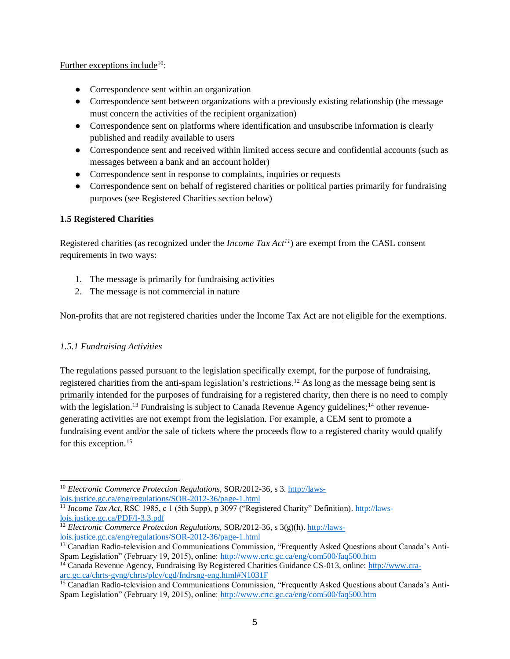#### Further exceptions include<sup>10</sup>:

- Correspondence sent within an organization
- Correspondence sent between organizations with a previously existing relationship (the message must concern the activities of the recipient organization)
- Correspondence sent on platforms where identification and unsubscribe information is clearly published and readily available to users
- Correspondence sent and received within limited access secure and confidential accounts (such as messages between a bank and an account holder)
- Correspondence sent in response to complaints, inquiries or requests
- Correspondence sent on behalf of registered charities or political parties primarily for fundraising purposes (see Registered Charities section below)

# <span id="page-4-0"></span>**1.5 Registered Charities**

Registered charities (as recognized under the *Income Tax Act<sup>11</sup>*) are exempt from the CASL consent requirements in two ways:

- 1. The message is primarily for fundraising activities
- 2. The message is not commercial in nature

Non-profits that are not registered charities under the Income Tax Act are not eligible for the exemptions.

# <span id="page-4-1"></span>*1.5.1 Fundraising Activities*

The regulations passed pursuant to the legislation specifically exempt, for the purpose of fundraising, registered charities from the anti-spam legislation's restrictions.<sup>12</sup> As long as the message being sent is primarily intended for the purposes of fundraising for a registered charity, then there is no need to comply with the legislation.<sup>13</sup> Fundraising is subject to Canada Revenue Agency guidelines;<sup>14</sup> other revenuegenerating activities are not exempt from the legislation. For example, a CEM sent to promote a fundraising event and/or the sale of tickets where the proceeds flow to a registered charity would qualify for this exception.<sup>15</sup>

 <sup>10</sup> *Electronic Commerce Protection Regulations*, SOR/2012-36, s 3[. http://laws](http://laws-lois.justice.gc.ca/eng/regulations/SOR-2012-36/page-1.html)[lois.justice.gc.ca/eng/regulations/SOR-2012-36/page-1.html](http://laws-lois.justice.gc.ca/eng/regulations/SOR-2012-36/page-1.html)

<sup>&</sup>lt;sup>11</sup> *Income Tax Act*, RSC 1985, c 1 (5th Supp), p 3097 ("Registered Charity" Definition). [http://laws](http://laws-lois.justice.gc.ca/PDF/I-3.3.pdf)[lois.justice.gc.ca/PDF/I-3.3.pdf](http://laws-lois.justice.gc.ca/PDF/I-3.3.pdf)

<sup>&</sup>lt;sup>12</sup> *Electronic Commerce Protection Regulations*, SOR/2012-36, s 3(g)(h)[. http://laws](http://laws-lois.justice.gc.ca/eng/regulations/SOR-2012-36/page-1.html)[lois.justice.gc.ca/eng/regulations/SOR-2012-36/page-1.html](http://laws-lois.justice.gc.ca/eng/regulations/SOR-2012-36/page-1.html)

<sup>&</sup>lt;sup>13</sup> Canadian Radio-television and Communications Commission, "Frequently Asked Questions about Canada's Anti-Spam Legislation" (February 19, 2015), online:<http://www.crtc.gc.ca/eng/com500/faq500.htm>

<sup>&</sup>lt;sup>14</sup> Canada Revenue Agency, Fundraising By Registered Charities Guidance CS-013, online: [http://www.cra](http://www.cra-arc.gc.ca/chrts-gvng/chrts/plcy/cgd/fndrsng-eng.html#N1031F)[arc.gc.ca/chrts-gvng/chrts/plcy/cgd/fndrsng-eng.html#N1031F](http://www.cra-arc.gc.ca/chrts-gvng/chrts/plcy/cgd/fndrsng-eng.html#N1031F)

<sup>&</sup>lt;sup>15</sup> Canadian Radio-television and Communications Commission, "Frequently Asked Questions about Canada's Anti-Spam Legislation" (February 19, 2015), online:<http://www.crtc.gc.ca/eng/com500/faq500.htm>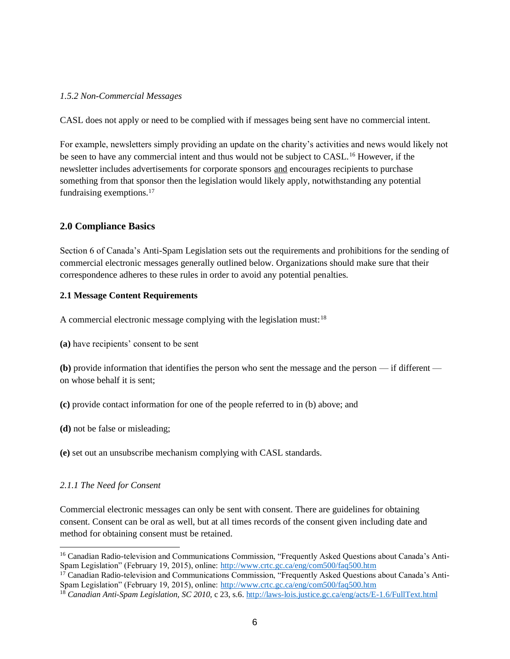### <span id="page-5-0"></span>*1.5.2 Non-Commercial Messages*

CASL does not apply or need to be complied with if messages being sent have no commercial intent.

For example, newsletters simply providing an update on the charity's activities and news would likely not be seen to have any commercial intent and thus would not be subject to CASL.<sup>16</sup> However, if the newsletter includes advertisements for corporate sponsors and encourages recipients to purchase something from that sponsor then the legislation would likely apply, notwithstanding any potential fundraising exemptions.<sup>17</sup>

# <span id="page-5-1"></span>**2.0 Compliance Basics**

Section 6 of Canada's Anti-Spam Legislation sets out the requirements and prohibitions for the sending of commercial electronic messages generally outlined below. Organizations should make sure that their correspondence adheres to these rules in order to avoid any potential penalties.

## <span id="page-5-2"></span>**2.1 Message Content Requirements**

A commercial electronic message complying with the legislation must:<sup>18</sup>

**(a)** have recipients' consent to be sent

**(b)** provide information that identifies the person who sent the message and the person — if different on whose behalf it is sent;

- **(c)** provide contact information for one of the people referred to in (b) above; and
- **(d)** not be false or misleading;
- **(e)** set out an unsubscribe mechanism complying with CASL standards.

#### <span id="page-5-3"></span>*2.1.1 The Need for Consent*

Commercial electronic messages can only be sent with consent. There are guidelines for obtaining consent. Consent can be oral as well, but at all times records of the consent given including date and method for obtaining consent must be retained.

<sup>&</sup>lt;sup>16</sup> Canadian Radio-television and Communications Commission, "Frequently Asked Questions about Canada's Anti-Spam Legislation" (February 19, 2015), online:<http://www.crtc.gc.ca/eng/com500/faq500.htm>

 $17$  Canadian Radio-television and Communications Commission, "Frequently Asked Questions about Canada's AntiSpam Legislation" (February 19, 2015), online:<http://www.crtc.gc.ca/eng/com500/faq500.htm>

<sup>18</sup> *Canadian Anti-Spam Legislation, SC 2010*, c 23, s.6[. http://laws-lois.justice.gc.ca/eng/acts/E-1.6/FullText.html](http://laws-lois.justice.gc.ca/eng/acts/E-1.6/FullText.html)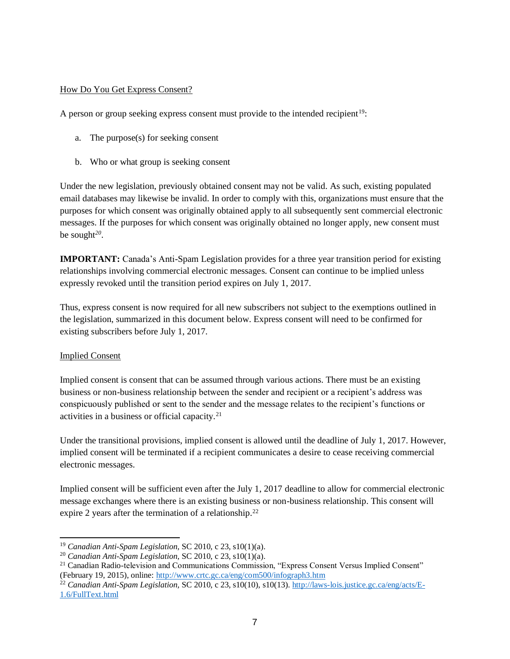### How Do You Get Express Consent?

A person or group seeking express consent must provide to the intended recipient<sup>19</sup>:

- a. The purpose(s) for seeking consent
- b. Who or what group is seeking consent

Under the new legislation, previously obtained consent may not be valid. As such, existing populated email databases may likewise be invalid. In order to comply with this, organizations must ensure that the purposes for which consent was originally obtained apply to all subsequently sent commercial electronic messages. If the purposes for which consent was originally obtained no longer apply, new consent must be sought*<sup>20</sup>* .

**IMPORTANT:** Canada's Anti-Spam Legislation provides for a three year transition period for existing relationships involving commercial electronic messages. Consent can continue to be implied unless expressly revoked until the transition period expires on July 1, 2017.

Thus, express consent is now required for all new subscribers not subject to the exemptions outlined in the legislation, summarized in this document below. Express consent will need to be confirmed for existing subscribers before July 1, 2017.

#### Implied Consent

Implied consent is consent that can be assumed through various actions. There must be an existing business or non-business relationship between the sender and recipient or a recipient's address was conspicuously published or sent to the sender and the message relates to the recipient's functions or activities in a business or official capacity.<sup>21</sup>

Under the transitional provisions, implied consent is allowed until the deadline of July 1, 2017. However, implied consent will be terminated if a recipient communicates a desire to cease receiving commercial electronic messages.

Implied consent will be sufficient even after the July 1, 2017 deadline to allow for commercial electronic message exchanges where there is an existing business or non-business relationship. This consent will expire 2 years after the termination of a relationship.<sup>22</sup>

 <sup>19</sup> *Canadian Anti-Spam Legislation,* SC 2010, c 23, s10(1)(a).

<sup>20</sup> *Canadian Anti-Spam Legislation,* SC 2010, c 23, s10(1)(a).

<sup>&</sup>lt;sup>21</sup> Canadian Radio-television and Communications Commission, "Express Consent Versus Implied Consent" (February 19, 2015), online:<http://www.crtc.gc.ca/eng/com500/infograph3.htm>

<sup>22</sup> *Canadian Anti-Spam Legislation,* SC 2010, c 23, s10(10), s10(13)[. http://laws-lois.justice.gc.ca/eng/acts/E-](http://laws-lois.justice.gc.ca/eng/acts/E-1.6/FullText.html)[1.6/FullText.html](http://laws-lois.justice.gc.ca/eng/acts/E-1.6/FullText.html)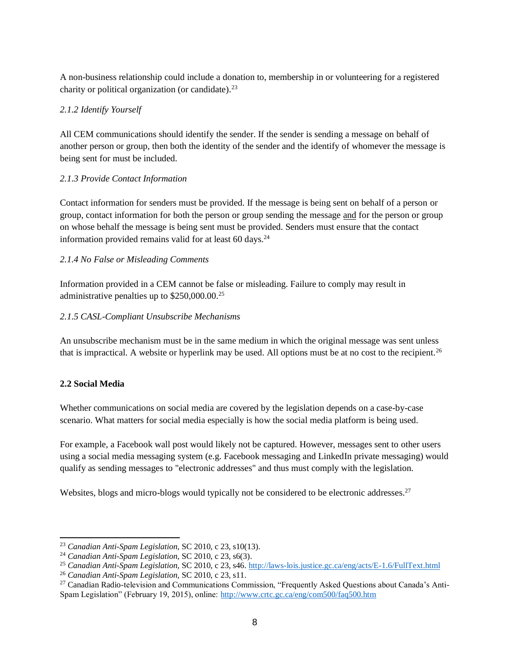A non-business relationship could include a donation to, membership in or volunteering for a registered charity or political organization (or candidate). $23$ 

# <span id="page-7-0"></span>*2.1.2 Identify Yourself*

All CEM communications should identify the sender. If the sender is sending a message on behalf of another person or group, then both the identity of the sender and the identify of whomever the message is being sent for must be included.

# <span id="page-7-1"></span>*2.1.3 Provide Contact Information*

Contact information for senders must be provided. If the message is being sent on behalf of a person or group, contact information for both the person or group sending the message and for the person or group on whose behalf the message is being sent must be provided. Senders must ensure that the contact information provided remains valid for at least  $60 \text{ days}$ .<sup>24</sup>

# <span id="page-7-2"></span>*2.1.4 No False or Misleading Comments*

Information provided in a CEM cannot be false or misleading. Failure to comply may result in administrative penalties up to \$250,000.00.<sup>25</sup>

# <span id="page-7-3"></span>*2.1.5 CASL-Compliant Unsubscribe Mechanisms*

An unsubscribe mechanism must be in the same medium in which the original message was sent unless that is impractical. A website or hyperlink may be used. All options must be at no cost to the recipient.<sup>26</sup>

# <span id="page-7-4"></span>**2.2 Social Media**

Whether communications on social media are covered by the legislation depends on a case-by-case scenario. What matters for social media especially is how the social media platform is being used.

For example, a Facebook wall post would likely not be captured. However, messages sent to other users using a social media messaging system (e.g. Facebook messaging and LinkedIn private messaging) would qualify as sending messages to "electronic addresses" and thus must comply with the legislation.

Websites, blogs and micro-blogs would typically not be considered to be electronic addresses.<sup>27</sup>

 <sup>23</sup> *Canadian Anti-Spam Legislation*, SC 2010, c 23, s10(13).

<sup>24</sup> *Canadian Anti-Spam Legislation*, SC 2010, c 23, s6(3).

<sup>25</sup> *Canadian Anti-Spam Legislation*, SC 2010, c 23, s46.<http://laws-lois.justice.gc.ca/eng/acts/E-1.6/FullText.html>

<sup>26</sup> *Canadian Anti-Spam Legislation,* SC 2010, c 23, s11.

<sup>&</sup>lt;sup>27</sup> Canadian Radio-television and Communications Commission, "Frequently Asked Questions about Canada's Anti-Spam Legislation" (February 19, 2015), online:<http://www.crtc.gc.ca/eng/com500/faq500.htm>